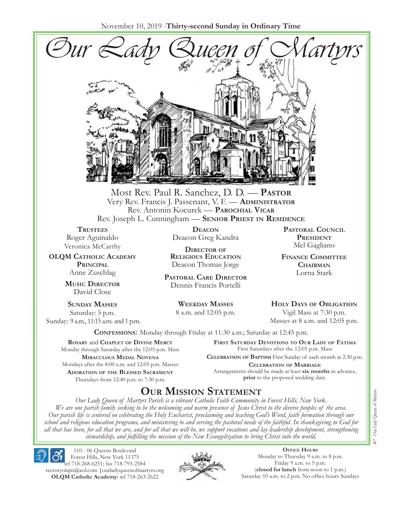November 10, 2019 -**Thirty-second Sunday in Ordinary Time**



Most Rev. Paul R. Sanchez, D. D. — **Pastor** Very Rev. Francis J. Passenant, V. F. — **Administrator** Rev. Antonin Kocurek — **Parochial Vicar** Rev. Joseph L. Cunningham — **Senior Priest in Residence**

**TRUSTEES** Roger Aguinaldo Veronica McCarthy

**OLQM Catholic Academy Principal** Anne Zuschlag

> **Music Director** David Close

**Sunday Masses** Saturday: 5 p.m. Sunday: 9 a.m., 11:15 a.m. and 1 p.m.

**Deacon** Deacon Greg Kandra

**Director of Religious Education** Deacon Thomas Jorge

**Pastoral Care Director** Dennis Francis Portelli

> **Weekday Masses** 8 a.m. and 12:05 p.m.

**Pastoral Council President** Mel Gagliano

**Finance Committee Chairman** Lorna Stark

**Holy Days of Obligation** Vigil Mass at 7:30 p.m.

Masses at 8 a.m. and 12:05 p.m.

**Confessions:** Monday through Friday at 11:30 a.m.; Saturday at 12:45 p.m.

**Rosary** and **Chaplet of Divine Mercy** Monday through Saturday after the 12:05 p.m. Mass **Miraculous Medal Novena** Mondays after the 8:00 a.m. and 12:05 p.m. Masses **Adoration of the Blessed Sacrament** Thursdays from 12:40 p.m. to 7:30 p.m.

**First Saturday Devotions to Our Lady of Fátima** First Saturdays after the 12:05 p.m. Mass

**Celebration of Baptism** First Sunday of each month at 2:30 p.m. **Celebration of Marriage** Arrangements should be made at least **six months** in advance, **prior** to the proposed wedding date.

# **Our Mission Statement**

*Our Lady Queen of Martyrs Parish is a vibrant Catholic Faith Community in Forest Hills, New York. We are one parish family seeking to be the welcoming and warm presence of Jesus Christ to the diverse peoples of the area. Our parish life is centered on celebrating the Holy Eucharist, proclaiming and teaching God's Word, faith formation through our school and religious education programs, and ministering to and serving the pastoral needs of the faithful. In thanksgiving to God for all that has been, for all that we are, and for all that we will be, we support vocations and lay leadership development, strengthening stewardship, and fulfilling the mission of the New Evangelization to bring Christ into the world.*

110 - 06 Queens Boulevard Forest Hills, New York 11375 tel 718-268-6251; fax 718-793-2584 [rectoryolqm@aol.com](mailto:rectoryolqm@aol.com) **|**[ourladyqueenofmartyrs.org](www.ourladyqueenofmartyrs.org) **OLQM Catholic Academy:** tel 718-263-2622



**Office Hours** Monday to Thursday 9 a.m. to 8 p.m. Friday 9 a.m. to 5 p.m. (**closed for lunch** from noon to 1 p.m.) Saturday 10 a.m. to 2 p.m. No office hours Sundays 407 - Our Lady Queen of Martyrs 407 - Our Lady Queen of Martyrs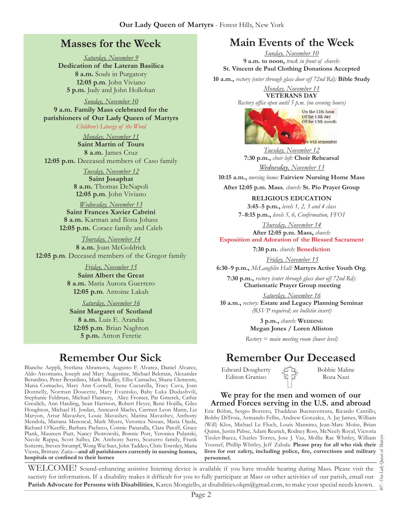# **Masses for the Week**

*Saturday, November 9* **Dedication of the Lateran Basilica 8 a.m.** Souls in Purgatory **12:05 p.m***.* John Viviano **5 p.m.** Judy and John Hollohan

*Sunday, November 10* **9 a.m. Family Mass celebrated for the parishioners of Our Lady Queen of Martyrs** *Children's Liturgy of the Word* 

*Monday, November 11* **Saint Martin of Tours 8 a.m.** James Cruz

**12:05 p.m.** Deceased members of Caso family

*Tuesday, November 12* **Saint Josaphat 8 a.m.** Thomas DeNapoli **12:05 p.m***.* John Viviano

*Wednesday, November 13* **Saint Frances Xavier Cabrini 8 a.m.** Karman and Ilona Johasz **12:05 p.m.** Corace family and Caleb

*Thursday, November 14* **8 a.m.** Joan McGoldrick **12:05 p.m***.* Deceased members of the Gregor family

> *Friday, November 15* **Saint Albert the Great 8 a.m.** Maria Aurora Guerrero **12:05 p.m***.* Antoine Lakah

*Saturday, November 16* **Saint Margaret of Scotland 8 a.m.** Luis E. Arandia **12:05 p.m***.* Brian Naghton **5 p.m.** Anton Feretic

# **Remember Our Sick**

Blanche Aeppli, Svetlana Abramova, Augusto F. Alvarez, Daniel Alvarez, Aldo Arcomano, Joseph and Mary Augustine, Michael Bekman, Alexander Berardino, Peter Berardino, Mark Bradley, Elba Camacho, Shana Clemente, Maria Comacho, Mary Ann Cornell, Irene Cucurella, Tracy Cuva, Joan Donnelly, Norman Doucette, Mary Evanisko, Baby Luka Dudashvili, Stephanie Feldman, Michael Flannery, Alice Fromer, Pat Gmerek, Cathie Greulich, Ann Harding, Sean Harrison, Robert Heyer, René Hojilla, Giles Houghton, Michael H. Jordan, Anncarol Macho, Carmen Leon Marin, Liz Maryon, Artur Mavashev, Louie Mavashev, Marina Mavashev, Anthony Mendola, Mariana Menoscal, Mark Myers, Veronica Nissan, Maria Ojeda, Richard O'Keeffe, Barbara Pacheco, Connie Panaralla, Clara Patoff, Grace Plank, Maureen Piatt, Nancy Piotrowski, Bonnie Post, Veronica Pulanski, Nicole Rappa, Scott Salbo, Dr. Anthony Sarro, Scaturro family, Frank Soriente, Steven Strumpf, Wong Wai Suet, John Taddeo, Chris Townley, Maria Viesta, Brittany Zaita—**and all parishioners currently in nursing homes, hospitals or confined to their homes**

# **Main Events of the Week**

*Sunday, November 10* **9 a.m. to noon,** *truck in front of church:* **St. Vincent de Paul Clothing Donations Accepted**

**10 a.m.,** *rectory (enter through glass door off 72nd Rd):* **Bible Study**

*Monday, November 11* **VETERANS DAY** 

*Rectory office open until 5 p.m. (no evening hours)*



*Tuesday, November 12* **7:30 p.m.,** *choir loft:* **Choir Rehearsal** *Wednesday, November 13*

**10:15 a.m.,** *nursing home:* **Fairview Nursing Home Mass**

**After 12:05 p.m. Mass***, church:* **St. Pio Prayer Group**

**RELIGIOUS EDUCATION** 

**3:45**–**5 p.m.,** *levels 1, 2, 3 and 4 class* **7**–**8:15 p.m.,** *levels 5, 6, Confirmation, FFO  I*

*Thursday, November 14* **After 12:05 p.m. Mass,** *church:* 

**Exposition and Adoration of the Blessed Sacrament**

**7:30 p.m.** *church:* **Benediction**

*Friday, November 15*

**6:30**–**9 p.m.,** *McLaughlin Hall:* **Martyrs Active Youth Org.**

**7:30 p.m.,** *rectory (enter through glass door off 72nd Rd):*  **Charismatic Prayer Group meeting**

*Saturday, November 16* **10 a.m.,** *rectory:* **Estate and Legacy Planning Seminar**  *(RSVP required; see bulletin insert)*

> **3 p.m.,** *church:* **Wedding Megan Jones / Loren Alliston**

*Rectory = main meeting room (lower level)*

# **Remember Our Deceased**

Edward Dougherty Edison Granizo

Bobbie Maline Roza Nazi

#### **We pray for the men and women of our Armed Forces serving in the U.S. and abroad**

Eric Böhm, Sergio Borrero, Thaddeus Buenaventura, Ricardo Cantillo, Bobby DiTroia, Armando Fellin, Andrew Gonzalez, A. Jay James, William (Will) Klos, Michael Le Floch, Louis Mannino, Jean-Marc Moïse, Brian Quinn, Justin Pabse, Adam Rearick, Rodney Ross, McNeely Royal, Victoria Tissler-Bacca, Charles Torres, Jose J. Vaz, Mollie Rae Whitley, William Youssef, Phillip Whitley, Jeff Zabala. **Please pray for all who risk their lives for our safety, including police, fire, corrections and military personnel.**

WELCOME! Sound-enhancing assistive listening device is available if you have trouble hearing during Mass. Please visit the sacristy for information. If a disability makes it difficult for you to fully participate at Mass or other activities of our parish, email our **Parish Advocate for Persons with Disabilities**, Karen Mongiello, at [disabilities.olqm@gmail.com](mailto:disabilities.olqm@gmail.com), to make your special needs known.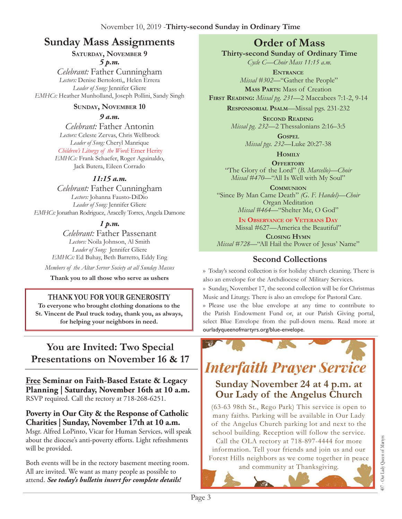# **Sunday Mass Assignments Order of Mass**

### **Saturday, November 9** *5 p.m.*

*Celebrant:* Father Cunningham *Lectors:* Denise Bertolotti,, Helen Errera *Leader of Song:* Jennifer Gliere *EMHCs:* Heather Munholland, Joseph Pollini, Sandy Singh

### **Sunday, November 10**

*9 a.m.* 

*Celebrant:* Father Antonin *Lectors:* Celeste Zervas, Chris Wellbrock *Leader of Song:* Cheryl Manrique *Children's Liturgy of the Word:* Emer Herity *EMHCs:* Frank Schaefer, Roger Aguinaldo, Jack Butera, Eileen Corrado

### *11:15 a.m.*

*Celebrant:* Father Cunningham *Lectors:* Johanna Fausto-DiDio *Leader of Song:* Jennifer Gliere *EMHCs:* Jonathan Rodriguez, Aracelly Torres, Angela Damone

### *1 p.m.*

*Celebrant:* Father Passenant *Lectors:* Noila Johnson, Al Smith *Leader of Song:* Jennifer Gliere *EMHCs:* Ed Buhay, Beth Barretto, Eddy Eng

*Members of the Altar Server Society at all Sunday Masses*

**Thank you to all those who serve as ushers**

### **THANK YOU FOR YOUR GENEROSITY**

**To everyone who brought clothing donations to the St. Vincent de Paul truck today, thank you, as always, for helping your neighbors in need.**

# **You are Invited: Two Special Presentations on November 16 & 17**

**Free Seminar on Faith-Based Estate & Legacy Planning | Saturday, November 16th at 10 a.m.**  RSVP required. Call the rectory at 718-268-6251.

### **Poverty in Our City & the Response of Catholic Charities | Sunday, November 17th at 10 a.m.**

Msgr. Alfred LoPinto, Vicar for Human Services, will speak about the diocese's anti-poverty efforts. Light refreshments will be provided.

Both events will be in the rectory basement meeting room. All are invited. We want as many people as possible to attend. *See today's bulletin insert for complete details!* 

**Thirty-second Sunday of Ordinary Time**

*Cycle C—Choir Mass 11:15 a.m.* **Entrance**

*Missal #302—*"Gather the People"

**Mass Parts:** Mass of Creation

**First Reading:** *Missal pg. 231—*2 Maccabees 7:1-2, 9-14

**Responsorial Psalm**—Missal pgs. 231-232

**Second Reading** *Missal pg. 232—*2 Thessalonians 2:16–3:5

> **Gospel** *Missal pgs. 232—*Luke 20:27-38

> > **Homily**

**Offertory** "The Glory of the Lord" (*B. Marcello)—Choir Missal #470—*"All Is Well with My Soul"

**Communion** "Since By Man Came Death" *(G. F. Handel)—Choir*  Organ Meditation *Missal #464—*"Shelter Me, O God"

> **In Observance of Veterans Day** Missal #627—America the Beautiful"

**Closing Hymn** *Missal #728—*"All Hail the Power of Jesus' Name"

## **Second Collections**

›› Today's second collection is for holiday church cleaning. There is also an envelope for the Archdiocese of Military Services. ›› Sunday, November 17, the second collection will be for Christmas Music and Liturgy. There is also an envelope for Pastoral Care. ›› Please use the blue envelope at any time to contribute to the Parish Endowment Fund or, at our Parish Giving portal, select Blue Envelope from the pull-down menu. Read more at ourladyqueenofmartyrs.org/blue-envelope.



# **Interfaith Prayer Service**

# **Sunday November 24 at 4 p.m. at Our Lady of the Angelus Church**

(63-63 98th St., Rego Park) This service is open to many faiths. Parking will be available in Our Lady of the Angelus Church parking lot and next to the school building. Reception will follow the service. Call the OLA rectory at 718-897-4444 for more information. Tell your friends and join us and our Forest Hills neighbors as we come together in peace

and community at Thanksgiving.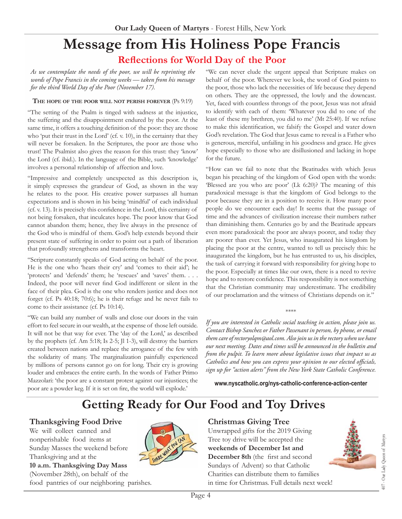# **Message from His Holiness Pope Francis Reflections for World Day of the Poor**

*As we contemplate the needs of the poor, we will be reprinting the words of Pope Francis in the coming weeks — taken from his message for the third World Day of the Poor (November 17).*

#### **The hope of the poor will not perish forever** (Ps 9:19)

"The setting of the Psalm is tinged with sadness at the injustice, the suffering and the disappointment endured by the poor. At the same time, it offers a touching definition of the poor: they are those who 'put their trust in the Lord' (cf. v. 10), in the certainty that they will never be forsaken. In the Scriptures, the poor are those who trust! The Psalmist also gives the reason for this trust: they 'know' the Lord (cf. ibid.). In the language of the Bible, such 'knowledge' involves a personal relationship of affection and love.

"Impressive and completely unexpected as this description is, it simply expresses the grandeur of God, as shown in the way he relates to the poor. His creative power surpasses all human expectations and is shown in his being 'mindful' of each individual (cf. v. 13). It is precisely this confidence in the Lord, this certainty of not being forsaken, that inculcates hope. The poor know that God cannot abandon them; hence, they live always in the presence of the God who is mindful of them. God's help extends beyond their present state of suffering in order to point out a path of liberation that profoundly strengthens and transforms the heart.

"Scripture constantly speaks of God acting on behalf of the poor. He is the one who 'hears their cry' and 'comes to their aid'; he 'protects' and 'defends' them; he 'rescues' and 'saves' them. . . . Indeed, the poor will never find God indifferent or silent in the face of their plea. God is the one who renders justice and does not forget (cf. Ps 40:18; 70:6); he is their refuge and he never fails to come to their assistance (cf. Ps 10:14).

"We can build any number of walls and close our doors in the vain effort to feel secure in our wealth, at the expense of those left outside. It will not be that way for ever. The 'day of the Lord,' as described by the prophets (cf. Am 5:18; Is 2-5; Jl 1-3), will destroy the barriers created between nations and replace the arrogance of the few with the solidarity of many. The marginalization painfully experienced by millions of persons cannot go on for long. Their cry is growing louder and embraces the entire earth. In the words of Father Primo Mazzolari: 'the poor are a constant protest against our injustices; the poor are a powder keg. If it is set on fire, the world will explode.'  

"We can never elude the urgent appeal that Scripture makes on behalf of the poor. Wherever we look, the word of God points to the poor, those who lack the necessities of life because they depend on others. They are the oppressed, the lowly and the downcast. Yet, faced with countless throngs of the poor, Jesus was not afraid to identify with each of them: 'Whatever you did to one of the least of these my brethren, you did to me' (Mt 25:40). If we refuse to make this identification, we falsify the Gospel and water down God's revelation. The God that Jesus came to reveal is a Father who is generous, merciful, unfailing in his goodness and grace. He gives hope especially to those who are disillusioned and lacking in hope for the future.

"How can we fail to note that the Beatitudes with which Jesus began his preaching of the kingdom of God open with the words: 'Blessed are you who are poor' (Lk 6:20)? The meaning of this paradoxical message is that the kingdom of God belongs to the poor because they are in a position to receive it. How many poor people do we encounter each day! It seems that the passage of time and the advances of civilization increase their numbers rather than diminishing them. Centuries go by and the Beatitude appears even more paradoxical: the poor are always poorer, and today they are poorer than ever. Yet Jesus, who inaugurated his kingdom by placing the poor at the centre, wanted to tell us precisely this: he inaugurated the kingdom, but he has entrusted to us, his disciples, the task of carrying it forward with responsibility for giving hope to the poor. Especially at times like our own, there is a need to revive hope and to restore confidence. This responsibility is not something that the Christian community may underestimate. The credibility of our proclamation and the witness of Christians depends on it."

*If you are interested in Catholic social teaching in action, please join us. Contact Bishop Sanchez or Father Passenant in person, by phone, or email them care of [rectoryolqm@aol.com.](mailto:rectoryolqm@aol.com) Also join us in the rectory when we have our next meeting. Dates and times will be announced in the bulletin and from the pulpit. To learn more about legislative issues that impact us as Catholics and how you can express your opinion to our elected officials, sign up for "action alerts" from the New York State Catholic Conference.* 

\*\*\*\*

**[www.nyscatholic.org/nys-catholic-conference-action-center](https://www.nyscatholic.org/nys-catholic-conference-action-center/)**

# **Getting Ready for Our Food and Toy Drives**

Page 4

### **Thanksgiving Food Drive**

We will collect canned and nonperishable food items at Sunday Masses the weekend before Thanksgiving and at the **10 a.m. Thanksgiving Day Mass** 

(November 28th), on behalf of the

food pantries of our neighboring parishes.



### **Christmas Giving Tree**

Unwrapped gifts for the 2019 Giving Tree toy drive will be accepted the **weekends of December 1st and December 8th** (the first and second Sundays of Advent) so that Catholic Charities can distribute them to families in time for Christmas. Full details next week!

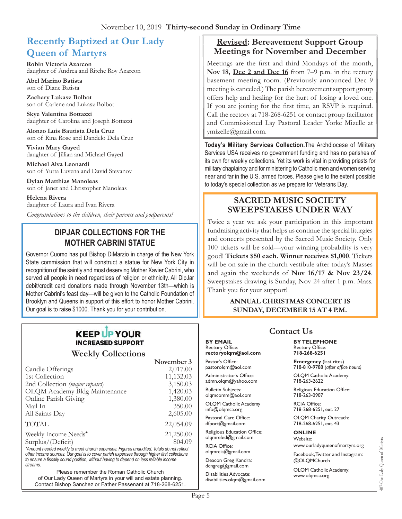# **Recently Baptized at Our Lady Queen of Martyrs**

**Robin Victoria Azarcon** daughter of Andrea and Ritche Roy Azarcon

**Abel Marino Batista** son of Diane Batista

**Zachary Lukasz Bolbot** son of Carlene and Lukasz Bolbot

**Skye Valentina Bottazzi** daughter of Carolina and Joseph Bottazzi

**Alonzo Luis Bautista Dela Cruz** son of Rina Rose and Dandelo Dela Cruz

**Vivian Mary Gayed** daughter of Jillian and Michael Gayed

**Michael Alva Leonardi** son of Yutta Luvena and David Stevanov

**Dylan Matthias Manoleas** son of Janet and Christopher Manoleas

**Helena Rivera** daughter of Laura and Ivan Rivera *Congratulations to the children, their parents and godparents!*

### **DIPJAR COLLECTIONS FOR THE MOTHER CABRINI STATUE**

Governor Cuomo has put Bishop DiMarzio in charge of the New York State commission that will construct a statue for New York City in recognition of the saintly and most deserving Mother Xavier Cabrini, who served all people in need regardless of religion or ethnicity. All DipJar debit/credit card donations made through November 13th—which is Mother Cabrini's feast day—will be given to the Catholic Foundation of Brooklyn and Queens in support of this effort to honor Mother Cabrini. Our goal is to raise \$1000. Thank you for your contribution.

## **KEEP UP YOUR INCREASED SUPPORT**

**Weekly Collections**

|                                                                                           | November 3 |
|-------------------------------------------------------------------------------------------|------------|
| Candle Offerings                                                                          | 2,017.00   |
| 1st Collection                                                                            | 11,132.03  |
| 2nd Collection (major repairs)                                                            | 3,150.03   |
| OLQM Academy Bldg Maintenance                                                             | 1,420.03   |
| Online Parish Giving                                                                      | 1,380.00   |
| Mail In                                                                                   | 350.00     |
| All Saints Day                                                                            | 2,605.00   |
| <b>TOTAL</b>                                                                              | 22,054.09  |
| Weekly Income Needs*                                                                      | 21,250.00  |
| Surplus/(Deficit)                                                                         | 804.09     |
| *Animatical delighter in the most should someoned. Flames considered Tatala de not methat |            |

*\*Amount needed weekly to meet church expenses. Figures unaudited. Totals do not reflect other income sources. Our goal is to cover parish expenses through higher first collections to ensure a fiscally sound position, without having to depend on less reliable income streams*.

Please remember the Roman Catholic Church of Our Lady Queen of Martyrs in your will and estate planning. Contact Bishop Sanchez or Father Passenant at 718-268-6251.

### **Revised: Bereavement Support Group Meetings for November and December**

Meetings are the first and third Mondays of the month, Nov 18, Dec 2 and Dec 16 from 7–9 p.m. in the rectory basement meeting room. (Previously announced Dec 9 meeting is canceled.) The parish bereavement support group offers help and healing for the hurt of losing a loved one. If you are joining for the first time, an RSVP is required. Call the rectory at 718-268-6251 or contact group facilitator and Commissioned Lay Pastoral Leader Yorke Mizelle at ymizelle@gmail.com.

**Today's Military Services Collection.**The Archdiocese of Military Services USA receives no government funding and has no parishes of its own for weekly collections. Yet its work is vital in providing priests for military chaplaincy and for ministering to Catholic men and women serving near and far in the U.S. armed forces. Please give to the extent possible to today's special collection as we prepare for Veterans Day.

### **SACRED MUSIC SOCIETY SWEEPSTAKES UNDER WAY**

Twice a year we ask your participation in this important fundraising activity that helps us continue the special liturgies and concerts presented by the Sacred Music Society. Only 100 tickets will be sold—your winning probability is very good! **Tickets \$50 each. Winner receives \$1,000**. Tickets will be on sale in the church vestibule after today's Masses and again the weekends of **Nov 16/17 & Nov 23/24**. Sweepstakes drawing is Sunday, Nov 24 after 1 p.m. Mass. Thank you for your support!

> **ANNUAL CHRISTMAS CONCERT IS SUNDAY, DECEMBER 15 AT 4 P.M.**

#### **BY EMAIL** Rectory Office: **rectoryolqm@aol.com**

Pastor's Office: pastorolqm@aol.com

Administrator's Office: admn.olqm@yahoo.com

Bulletin Subjects: olqmcomm@aol.com

OLQM Catholic Academy info@olqmca.org

Pastoral Care Office: dfport@gmail.com

Religious Education Office: olqmreled@gmail.com

RCIA Office: [olqmrcia@gmail.com](mailto:olqmrcia@gmail.com)

Deacon Greg Kandra: dcngreg@gmail.com

Disabilities Advocate: [disabilities.olqm@gmail.com](mailto:disabilities.olqm@gmail.com)

# **Contact Us**

#### **BY TELEPHONE** Rectory Office: **718-268-6251**

**Emergency** (last rites) 718-810-9788 (*after office hours)*

OLQM Catholic Academy: 718-263-2622

Religious Education Office: 718-263-0907

RCIA Office: 718-268-6251, ext. 27

OLQM Charity Outreach: 718-268-6251, ext. 43

#### **ONLINE**

Website: www.ourladyqueenofmartyrs.org

Facebook, Twitter and Instagram: @OLQMChurch

OLQM Catholic Academy: <www.olqmca.org>